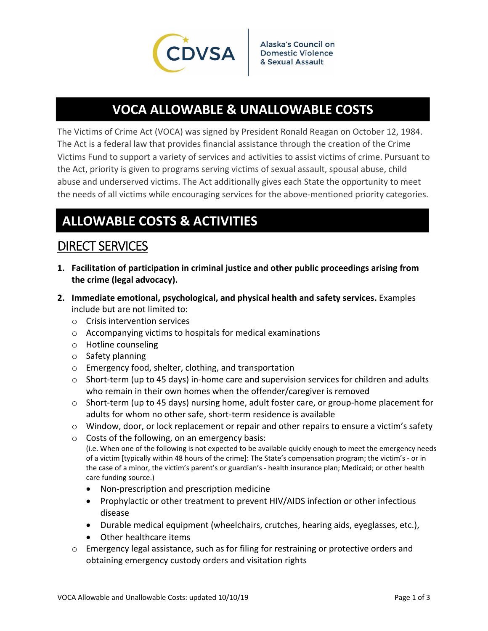

# **VOCA ALLOWABLE & UNALLOWABLE COSTS**

The Victims of Crime Act (VOCA) was signed by President Ronald Reagan on October 12, 1984. The Act is a federal law that provides financial assistance through the creation of the Crime Victims Fund to support a variety of services and activities to assist victims of crime. Pursuant to the Act, priority is given to programs serving victims of sexual assault, spousal abuse, child abuse and underserved victims. The Act additionally gives each State the opportunity to meet the needs of all victims while encouraging services for the above-mentioned priority categories.

## **ALLOWABLE COSTS & ACTIVITIES**

### DIRECT SERVICES

- **1. Facilitation of participation in criminal justice and other public proceedings arising from the crime (legal advocacy).**
- **2. Immediate emotional, psychological, and physical health and safety services.** Examples include but are not limited to:
	- o Crisis intervention services
	- o Accompanying victims to hospitals for medical examinations
	- o Hotline counseling
	- o Safety planning
	- o Emergency food, shelter, clothing, and transportation
	- $\circ$  Short-term (up to 45 days) in-home care and supervision services for children and adults who remain in their own homes when the offender/caregiver is removed
	- o Short‐term (up to 45 days) nursing home, adult foster care, or group‐home placement for adults for whom no other safe, short‐term residence is available
	- $\circ$  Window, door, or lock replacement or repair and other repairs to ensure a victim's safety
	- o Costs of the following, on an emergency basis: (i.e. When one of the following is not expected to be available quickly enough to meet the emergency needs

of a victim [typically within 48 hours of the crime]: The State's compensation program; the victim's ‐ or in the case of a minor, the victim's parent's or guardian's ‐ health insurance plan; Medicaid; or other health care funding source.)

- Non-prescription and prescription medicine
- Prophylactic or other treatment to prevent HIV/AIDS infection or other infectious disease
- Durable medical equipment (wheelchairs, crutches, hearing aids, eyeglasses, etc.),
- Other healthcare items
- o Emergency legal assistance, such as for filing for restraining or protective orders and obtaining emergency custody orders and visitation rights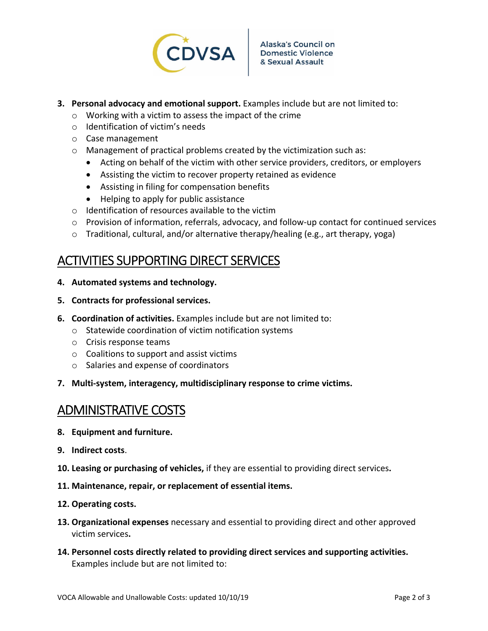

- **3. Personal advocacy and emotional support.** Examples include but are not limited to:
	- o Working with a victim to assess the impact of the crime
	- o Identification of victim's needs
	- o Case management
	- o Management of practical problems created by the victimization such as:
		- Acting on behalf of the victim with other service providers, creditors, or employers
		- Assisting the victim to recover property retained as evidence
		- Assisting in filing for compensation benefits
		- Helping to apply for public assistance
	- o Identification of resources available to the victim
	- o Provision of information, referrals, advocacy, and follow‐up contact for continued services
	- o Traditional, cultural, and/or alternative therapy/healing (e.g., art therapy, yoga)

### ACTIVITIES SUPPORTING DIRECT SERVICES

- **4. Automated systems and technology.**
- **5. Contracts for professional services.**
- **6. Coordination of activities.** Examples include but are not limited to:
	- o Statewide coordination of victim notification systems
	- o Crisis response teams
	- o Coalitions to support and assist victims
	- o Salaries and expense of coordinators
- **7. Multi‐system, interagency, multidisciplinary response to crime victims.**

#### ADMINISTRATIVE COSTS

- **8. Equipment and furniture.**
- **9. Indirect costs**.
- **10. Leasing or purchasing of vehicles,** if they are essential to providing direct services**.**
- **11. Maintenance, repair, or replacement of essential items.**
- **12. Operating costs.**
- **13. Organizational expenses** necessary and essential to providing direct and other approved victim services**.**
- **14. Personnel costs directly related to providing direct services and supporting activities.** Examples include but are not limited to: